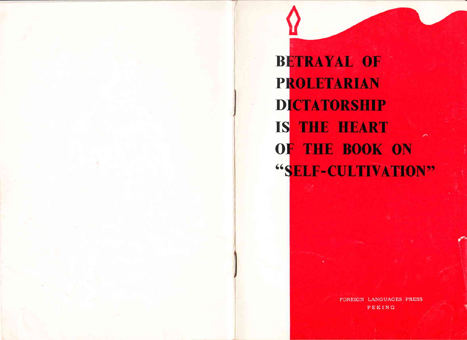**BETRAYAL OF** PROLETARIAN **DICTATORSHIP** IS THE HEART OF THE BOOK ON "SELF-CULTIVATION"

> FOREIGN LANGUAGES PRESS PEKING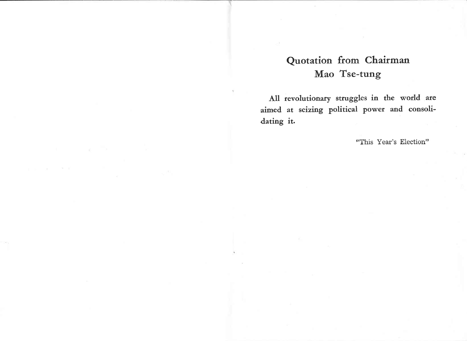## Quotation from Chairman Mao Tse-tung

All revolutionary struggles in the world are aimed at seizing political power and consolidating it.

"This Year's E1ection"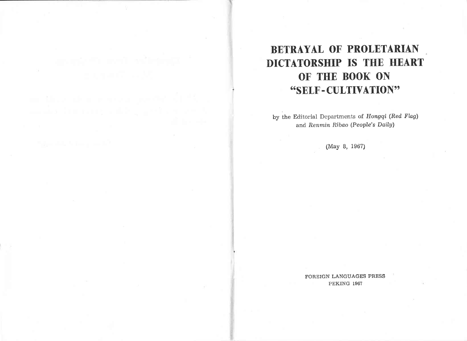# **BETRAYAL OF PROLETARIAN** DICTATORSHIP IS THE HEART OF THE BOOK ON "SELF-CULTIVATION"

by the Editorial Departments of Hongqi (Red Flag) and Renmin Ribao (People's Daily)

(May 8, 1967)

FOREIGN LANGUAGES PRESS PEKING 1967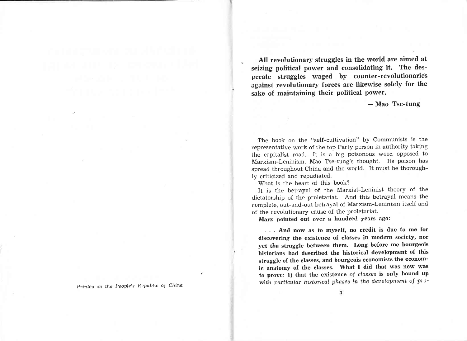All revolutionary struggles in the world are aimed at seizing political power and consolidating it. The desperate struggles waged by counter-revolutionaries against revolutionary forces are likewise solely for the sake of maintaining their political power.

### - Mao Tse-tung

The book on the "se1f-cultivation" by Communists is the representative work of the top Party person in authority taking the capitalist road. It is a big poisonous weed opposed to Marxism-Leninism, Mao Tse-tung's thought. Its poison has spread throughout China and the world. It must be thoroughly criticized and repudiated.

What is the heart of this book?

It is the betrayal of the Marxist-Leninist theory of the dictatorship of the proletariat. And this betrayal means the complete, out-and.-out betrayal of Marxism-Leninism itself and of the revolutionary cause of the proletariat.

Marx pointed out over a hundred years ago:

. . . And now as to myself, no credit is due to me for discovering the existence of classes in modern society, nor yet the struggle between thern. Long before me bourgeois historians had described the historical development of this struggle of the classes, and bourgeois economists the economic anatorny of the classes. What I did that was new was to prove: 1) that the existence of classes is only bound up with particular historical phases in the development of pro-

Printed in the People's Republic of China

 $\mathbf 1$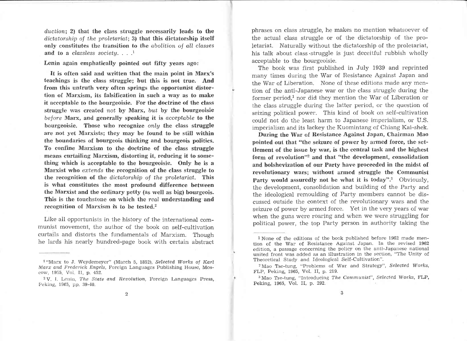duction; 2) that the class struggle necessarily leads to the  $dictatorship$  of the proletariat; 3) that this dictatorship itself only constitutes the transition to the abolition of all classes and to a classless society.  $\ldots$ <sup>1</sup>

Lenin again emphatically pointed out fifty years ago:

It is often said and written that the main point in Marx's teachings is the class struggle; but this is not true. And from this untruth very often springs the opportunist distortion of Marxism, its falsification in such a way as to make it acceptabie to the bourgeoisie. For the doctrine of the class struggle was created not by Marx, but by the bourgeoisie before Marx, and generally speaking it is acceptable to the bourgeoisie. Those who recognize only the class struggle are not yet Marxists; they may be found to be still within the boundaries of bourgeois thinking and bourgeois politics. To confine Marxism to the doctrine of the class struggle means curtailing Marxism, distorting it, reducing it to something which is acceptable to the bourgeoisie. Only he is a Marxist who extends the recognition of the class struggle to the recognition of the dictatorship of the proletariat. This is what constitutes the most profound difference between the Marxist and the ordinary petty (as well as big) bourgeois. This is the touchstone on which the real understanding and recognition of Marxism is to be tested.<sup>2</sup>

Like all opportunists in the history of the international communist movernent, the author of the book on self-cultivation curtails and distorts the fundamentals of Marxism. Though he lards his nearly hundred-page book with certain abstract

phrases on class struggle, he makes no mention whatsoever of. the actual class struggle or of the dictatorship of the proletariat. Naturaliy without the dictatorship of the proletariat, his talk about class struggle is just deceitful rubbish wholly acceptable to the bourgeoisie.

The book was first published in JuIy 1939 and reprinted many times during the War of Resistance Against Japan and the War of Liberation. None of these editions made any mention of the anti-Japanese war or the class struggle during the former period,<sup>1</sup> nor did they mention the War of Liberation or the class struggle during the latter period, or the question of seizing political power. This kind of book on self-cultivation could not do the least harm to Japanese imperialism, or U.S. imperialism and its lackey the Kuomintang of Chiang Kai-shek.

During the War of Resistance Against Japan, Chairman Mao pointed out that "the seizure of power by armed force, the settlement of the issue by war, is the central task and the highest form of revolution"<sup>2</sup> and that "the development, consolidation and bolshevization of our Party have proceeded in the midst of revolutionary wars; without armed struggle the Communist Party would assuredly not be what it is today".<sup>3</sup> Obviously, the development, consolidation and building of the Party and the ideological remoulding of Party members cannot be discussed outside the context of the revolutionary wars and the seizure of power by armed force. Yet in the very years of war when the guns were roaring and when we were struggling for political power, the top Party person in authority taking the

l "Marx to J. Weydemeyer" (March 5, 1852), Selected Works of Karl Marx and Frederick Engels, Foreign Languages Publishing House, Moscow, 1955, Vol. II, p. 452.

 $2V$ . I. Lenin, The State and Revolution, Foreign Languages Press, Peking, 1965, pp. 39-40.

<sup>1</sup> None of the editions of the book publlshed before 1962 made mention of the War of Resistance Against Japan. In the revised <sup>1962</sup> edition, a passage concerning the policy on the anti-Japanese national united front was added as an iliustration in the section, "The Unity of Theoretical Study and Ideological Self-Cultivation".

<sup>&</sup>lt;sup>2</sup> Mao Tse-tung, "Problems of War and Strategy", Selected Works, FLP, Peking, 1965, VoI. II, p. 219.

<sup>&</sup>lt;sup>3</sup> Mao Tse-tung, "Introducing The Communist", Selected Works, FLP, Peking, 1965, VoI. II, p. 292.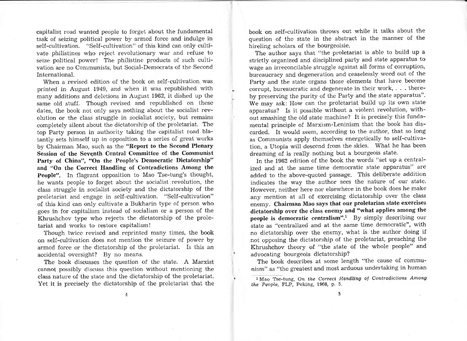capitalist road wanted people to forget about the fundamental task of seizing political power by armed force and indulge in self-cultivation. "Self-cultivation" of this kind can only cultivate philistines who reject revolutionary war and refuse to seize political power! The philistine products of such oultivation are no Communists, but Social-Democrats of the Second International.

When a revised edition of the book on self-cultivation was printed in August 1949, and when it was republished with many additions and deletions in August 1962, it dished up the same old stuff. Though revised and republished on these dates, the book not only says nothing about the socialist revolution or the class struggle in socialist society, but remains completely silent about the dictatorship of the proletariat. The top Party person in authority taking the capitalist road blatantly sets himself up in opposition to a series of great works by Chairman Mao, such as the "Report to the Second Plenary Session of the Seventh Central Committee of the Communist Party of China", "On the People's Democratic Dictatorship" and "On the Correct Handling of Contradictions Among the People". In flagrant opposition to Mao Tse-tung's thought, he wants people to forget about the socialist revolution, the class struggle in socialist society and the dictatorship of the proletariat and engage in self-cultivation. "Se1f-cultivation" of this kind can only cultivate a Bukharin type of person who goes in for capitalism instead of socialism or a person of the Khrushchov type who rejects the dictatorship of the proletariat and works to restore capitalism!

Though twice revised and reprinted many times, the book on self-cultivation does not mention the seizure of power by armed force or the dictatorship of the proletariat. Is this an accidental oversight? By no means.

The book discusses the question of the state. A Marxist cannot possibly discuss this question without mentioning the class nature of the state and the dictatorship of the proletariat. Yet it is precisely the dictatorship of the proletariat that the

book on self-cultivation throws out while it talks about the question of the state in the abstract in the manner of the hireling scholars of the bourgeoisie.

The author says that "the proletariat is able to build up <sup>a</sup> strictly organized and disciplined party and state apparatus to wage an irreconcilable struggle against all forms of corruption, bureaucracy and degeneration and ceaselessly weed out of the Party and the state organs those elements that have become corrupt, bureaucratic and degenerate in their work, . . thereby preserving the purity of the Party and the state apparatus". We may ask: How can the proletariat build up its own state apparatus? Is it possible without a violent revolution, without smashing the old state machine? It is precisely this fundamental principle of Marxism-Leninism that the book has discarded. It would seem, according to the author, that so long as Comrnunists apply themselves energetically to self-cultivation, a Utopia will descend from the skies. What he has been dreaming of is really nothing but a bourgeois state.

In the 1962 edition of the book the words "set up a centralized and at the same time democratic state apparatus" are added to the above-quoted passage. This deliberate addition indicates the way the author sees the nature of our state. However, neither here nor elsewhere in the book does he make any mention at all of exercising dictatorship over the class enemy. Chairman Mao says that our proletarian state exercises dictatorship over the class enemy and "what applies among the people is democratic centralism".<sup>1</sup> By simply describing our state as "centralized and at the same time democratic", with no dictatorship over the enemy, what is the author doing if not opposing the dictatorship of the proletariat, preaching the Khrushchov theory of "the state of the whole people" and advocating bourgeois dictatorship?

The book describes at some length "the cause of communism" as "the greatest and most arduous undertaking in human

4

 $\overline{\mathbf{a}}$ 

 $1$  Mao Tse-tung, On the Correct Handling of Contradictions Among the People, FLP, Peking, 1966, p. 5.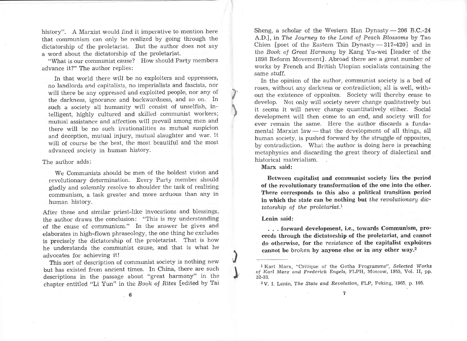history". A Marxist would find it imperative to mention here that communism can only be realized by going through the dictatorship of the proletariat. But the author does not say a word about the dictatorship of the proletariat.

"What is our communist cause? How should Party members advance it?" The author replies:

In that world there will be no exploiters and oppressors, no landlords and capitalists, no imperialists and fascists, nor will there be any oppressed and exploited people, nor any of the darkness, ignorance and backwardness, and so on. In such a society all hurnanity will consist of unselfish, intelligent, highly cultured and skilled communist workers; mutual assistance and affection will prevail among men and there will be no such irrationalities as mutual suspicion and deception, mutual injury, mutual slaughter and war. It will of course be the best, the most beautiful and the most advanced society in human history.

#### The author adds:

We Communists should be men of the boldest vision and revolutionary determination. Every Party member should gladly and solemnly resolve to shoulder the task of realizing communism, a task greater and more arduous than any in human history.

After these and similar priest-like invocations and blessings, the author draws the conclusion: "This is my understanding of the cause of communism." In the answer he gives and elaborates in high-flown phraseology, the one thing he excludes is precisely the dictatorship of the proletariat. That is how he understands the communist cause, and that is what he advocates for achieving it!

This sort of description of communist society is nothing new but has existed from ancient times. In China, there are such descriptions in the passage about "great harmony" in the chapter entitled "Li Yun" in the Book of Rites [edited by Tai

Sheng, a scholar of the Western Han Dynasty $-206$  B.C.-24 A.D.], in The Journey to the Land of Peach Blossoms by Tao Chien  $\lceil$  poet of the Eastern Tsin Dynasty  $-317-420$  and in the Book of Great llarmony by Kang Yu-wei [Ieader of the 1898 Reform Movement]. Abroad there are a great number of works by French and British Utopian socialists containing the same stuff.

In the opinion of the author, communist society is a bed of roses, without any darkness or contradiction; all is well, without the existence of opposites. Society will thereby cease to develop. Not only will society never change qualitatively bui it seems it will never change quantitatively either. Social development will then come to an end, and society will for ever remain the same. Here the author discards a fundamental Marxist law — that the development of all things, all merican marxist raw — that the development of an timigs, all<br>human society, is pushed forward by the struggle of opposites, by contradiction. What the author is doing here is preaching metaphysics and discarding the great theory of dialectical and historical materialism.

Marx said:

/'

)

 $\sqrt{2}$ 

)

Between capitalist and communist society lies the period of the revolutionary transfornnation of the one into the other. There corresponds to this also a political transition period in which the state can be nothing but the revolutionary dic $tatorship$  of the proletariat.<sup>1</sup>

#### Lenin said:

... forward development, i.e., towards Communism, proceeds through the dictatorship of the proletariat, and cannot do otherwise, for the resistance of the capitalist exploiters cannot be broken by anyone else or in any other way.2

<sup>&</sup>lt;sup>1</sup> Karl Marx, "Critique of the Gotha Programme", Selected Works of KarI Marc and" Prederick Engels, FLPH, Moscow, 1955, Vol. II, pp. 32-33.

<sup>&</sup>lt;sup>2</sup> V. I. Lenin, The State and Revolution, FLP, Peking, 1965, p. 105. 7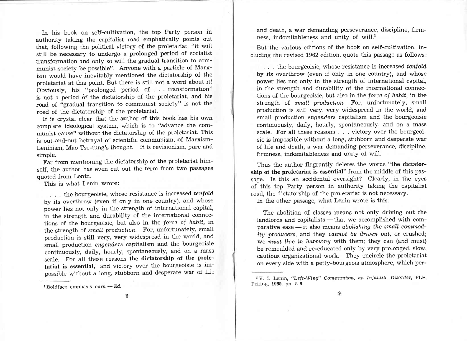In his book on self-cultivation, the top Party person in authority taking the capitaiist road emphatically points out that, following the political victory of the proletariat, "it will still be necessary to undergo a prolonged period of socialist transformation and only so will the gradual transition to communist society be possible". Anyone with a particle of Marxism would have inevitably mentioned the dictatorship of the proletariat at this point. But there is still not a word about it! Obviously, his "prolonged period of  $\ldots$  transformation" is not a period of the dictatorship of the proletariat, and his road of "gradual transition to communist society" is not the road of the dictatorship of the proletariat.

It is crystal clear that the author of this book has his own complete ideological system, which is to "advance the communist cause" without the dictatorship of the proletariat. This is out-and-out betrayal of scientific communism, of Marxism-Leninism, Mao Tse-tung's thought. It is revisionism, pure and simple.

Far from mentioning the dictatorship of the proletariat himself, the author has even cut out the term from two passages quoted from Lenin.

This is what Lenin wrote:

... the bourgeoisie, whose resistance is increased *tenfold* by its overthrow (even if only in one country), and whose power lies not only in the strength of international capital, in the strength and durability of the international connections of the bourgeoisie, but also in the force of habit, in the strength of smalt production. For, unfortunately, small production is still very, very widespread in the world, and small production engenders capitalism and the bourgeoisie continuously, daily, hourly, spontaneously, and on a mass scale. For all these reasons the dictatorship of the prole- $\text{tariat is essential}$ , and victory over the bourgeoisie is impossible without a long, stubborn and desperate war of life

and death, a war demanding perseverance, discipline, firmness, indomitableness and unity of will.<sup>1</sup>

But the various editions of the book on self-cultivation, including the revised 1962 edition, quote this passage as follows:

... the bourgeoisie, whose resistance is increased *tenfold* by its overthrow (even if only in one country), and whose power lies not only in the strength of international capital, in the strength and durability of the international connections of the bourgeoisie, but also in the force of habit, in the strength of small production. For, unfortunately, small production is still very, very widespread in the world, and small production *engenders* capitalism and the bourgeoisie continuously, daily, hourly, spontaneously, and on a mass scale. For all these reasons . . . victory over the bourgeoisie is impossible without a long, stubborn and desperate war of life and death, a war demanding perseverance, discipline, firmness, indomitableness and unity of wi1I.

Thus the author flagrantly deletes the words "the dictatorship of the proletariat is essential" from the middle of this passage. Is this an accidental oversight? Clearly, in the eyes of this top Party person in authority taking the capitalist road, the dictatorship of the proletariat is not necessary.

In the other passage, what Lenin wrote is this:

The abolition of classes means not only driving out the landlords and capitalists — that we accomplished with comand formulate that we accomplished with com-<br>parative ease — it also means abolishing the small commodparative ease – it also means docusting the small commod-<br>ity producers, and they cannot be driven out, or crushed; we must live in harmony with them; they can (and must) be remoulded and re-educated only by very prolonged, slow, cautious organizational work. They encircle the proletariat on every side with a petty-bourgeois atmosphere, which per-

 $\frac{1}{1}$ Boldface emphasis ours. — Ed.

<sup>&</sup>lt;sup>1</sup>V. I. Lenin, "Left-Wing" Communism, an Infantile Disorder, FLP, Peking, 1965, pp. 5-6.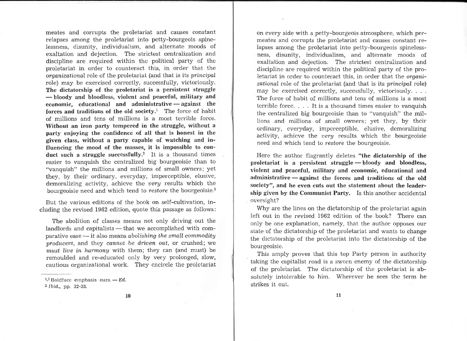meates and corrupts the proletariat and causes constant relapses among the proletariat into petty-bourgeois spinelessness, disunity, individualism, and alternate moods of exaltation and dejection. The strictest centralization and discipline are required within the political party of the proletariat in order to counteract this, in order that the organizational role of the proletariat (and that is its principal role) may be exercised correctly, successfully, victoriously. The dictatorship of the proletariat is a persistent struggle - economic, educational and adrninistrative against the bloody and bloodless, violent and peaceful, military and  $\epsilon$  economic, equeational and administrative  $\epsilon$  against the forces and traditions of the old society.<sup>1</sup> The force of habit of millions and tens of millions is a most terrible force. Without an iron party tempered in the struggle, without a party enjoying the confidence of all that is honest in the given class, without a party capable of watching and influencing the mood of the masses, it is impossible to conduct such a struggle successfully.<sup>2</sup> It is a thousand times easier to vanquish the centralized big bourgeoisie than to "vanquish" the millions and millions of small owners; yet they, by their ordinary, everyday, imperceptible, elusive, demoralizing activity, achieve the  $very$  results which the bourgeoisie need and which tend to restore the bourgeoisie.<sup>3</sup>

But the various editions of the book on self-cultivation, including the revised 1962 edition, quote this passage as follows:

The abolition of classes means not only driving out the landlords and capitalists — that we accomplished with comrandiorus and capitalists — that we accomprished with com-<br>parative ease — it also means abolishing the small commodity parailive ease – it also means doorishing the small commodity<br>producers, and they cannot be driven out, or crushed; we must live in harmony with them; they can (and must) be remoulded and re-educated only by very prolonged, slow, cautious organizational work. They encircle the proletariat on every side with a petty-bourgeois atmosphere, which permeates and corrupts the proletariat and causes constant relapses among the proletariat into petty-bourgeois spinelessness, disunity, individualism, and alternate moods of exaltation and dejection. The strictest centralization and discipline are required within the political party of the proletariat in order to counteract this, in order that the *organi*zational role of the proletariat (and that is its principal role) may be exercised correctly, successfully, victoriously. . . . The force of habit of millions and tens of millions is a most terrible force.  $\ldots$  It is a thousand times easier to vanquish the centralized big bourgeoisie than to "vanquish" the millions and millions of small owners; yet they, by their ordinary, everyday, imperceptible, elusive, demoralizing activity, achieve the  $very$  results which the bourgeoisie need and which tend to restore the bourgeoisie.

Here the author flagrantly deletes "the dictatorship of the proletariat is a persistent struggle - bloody and bloodless profetatiat is a persistent struggle – proody and proodness,<br>violent and peaceful, military and economic, educational and administrative – against the forces and traditions of the old administrative — against the forces and traditions of the old<br>society", and he even cuts out the statement about the leadership given by the Communist Party. Is this another accidental oversight?

Why are the lines on the dictatorship of the proletariat again left out in the revised 1962 edition of the book? There can only be one explanation, namely, that the author opposes our state of the dictatorship of the proletariat and wants to change the dictatorship of the proletariat into the dictatorship of the bourgeoisie.

This amply proves that this top Party person in authority taking the capitalist road is a sworn enemy of the dictatorship of the proletariat. The dictatorship of the proletariat is absolutely intolerable to him. Wherever he sees the term he strikes it out.

<sup>&</sup>lt;sup>1,2</sup> Boldface emphasis ours.  $-Ed$ .<br><sup>3</sup> Ibid., pp. 32-33.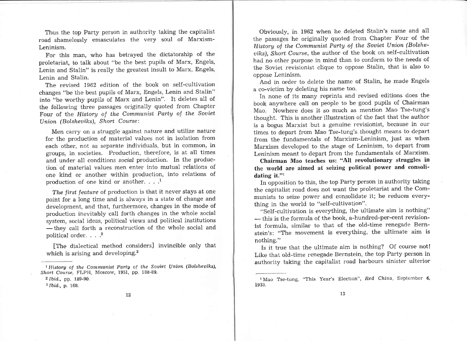Thus the top Party person in authority taking the capitalist road shamelessly emasculates the very soul of Marxism-Leninism.

For this man, who has betrayed the dictatorship of the proletariat, to talk about "be the best pupils of Marx, Engels, Lenin and Stalin" is really the greatest insult to Marx, Engels, Lenin and Stalin.

The revised 1962 edition of the book on self-cultivation changes "be the best pupils of Marx, Engels, Lenin and Stalin" into "be worthy pupils of Marx and Lenin". It deletes all of the following three passages originaily quoted from Chapter Four of the History of the Communist Party of the Soviet Union (Bolsheuiks), Short Course:

Men carry on a struggle against nature and utilize nature for the production of material values not in isolation from each other, not as separate individuals, but in common, in groups, in societies. Production, therefore, is at all times and under all conditions social production. In the production of material values men enter into mutual relations of one kind or another within production, into relations of production of one kind or another.  $\ldots$ <sup>1</sup>

The first feature of production is that it never stays at one point for a long time and is always in a state of change and development, and that, furthermore, changes in the mode of production inevitably call forth changes in the whole social system, social ideas, political views and political institutions mey can form a<br>2. . . . Political order. . . . 2 - they call forth a reconstruction of the whole social and

[The dialectical method considers] invincible only that which is arising and developing.<sup>3</sup>

Obviously, in 1962 when he deleted Stalin's name and all the passages he originally quoted from Chapter Four of the History of the Communist Party of the Soviet Union (Bolsheuiks), Short Course, the author of the book on self-cultivation had no other purpose in mind than to conform to the needs of the Soviet revisionist clique to oppose Stalin, that is also to oppose Leninism.

And in order to delete the name of Stalin, he made Engels a co-victim by deleting his name too.

fn none of its many reprints and revised editions does the book anywhere caII on people to be good pupils of Chairman Mao. Nowhere does it so much as mention Mao Tse-tung's thought. This is another illustration of the fact that the author is a bogus Marxist but a genuine revisionist, because in our times to depart from Mao Tse-tung's thought means to depart from the fundamentals of Marxism-Leninism, just as when Marxism developed to the stage of Leninism, to depart from Leninism meant to depart from the fundamentals of Marxism.

Chairrnan Mao teaches us' "All revolutionary struggles in the world are aimed at seizing political power and consolidating it."<sup>1</sup>

In opposition to this, the top Party person in authority taking the capitalist road does not want the proletariat and the Communists to seize power and consolidate it; he reduces everything in the world to "self-cultivation"'

"Self-cultivation is everything, the ultimate aim is nothing" - ist formula, similar to that of the old-time renegade Bern--- this is the formula of the book, a-hundred-per-cent revisionstein's: "The movement is everything, the ultimate aim is nothing."

Is it true that the ultimate aim is nothing? Of course not! Like that old-time renegade Bernstein, the top Party person in authority taking the capitalist road harbours sinister ulterior

<sup>&</sup>lt;sup>1</sup> History of the Communist Party of the Soviet Union (Bolsheviks), Short Course, FLPH, Moscow, 1951, pp. 188-89.

<sup>2</sup>lbid., pp. 189-90.

<sup>3</sup>lbid., p. 168.

<sup>&</sup>lt;sup>1</sup> Mao Tse-tung, "This Year's Election", Red China, September 6, 1933.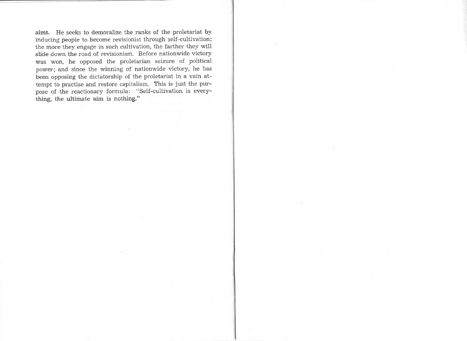aims, He seeks to demoralize the ranks of the proletariat by inducing people to become revisionist through self-cultivation; the more they engage in such cultivation, the farther they will slide down the road of revisionism. Before nationwide victory was won, he opposed the proletarian seizure of political power; and since the winning of nationwide victory, he has been opposing the dictatorship of the proletariat in a vain attempt to practise and restore capitalism. This is just the purpose of the reactionary formula: "Self-cultivation is everything, the ultimate aim is nothing."